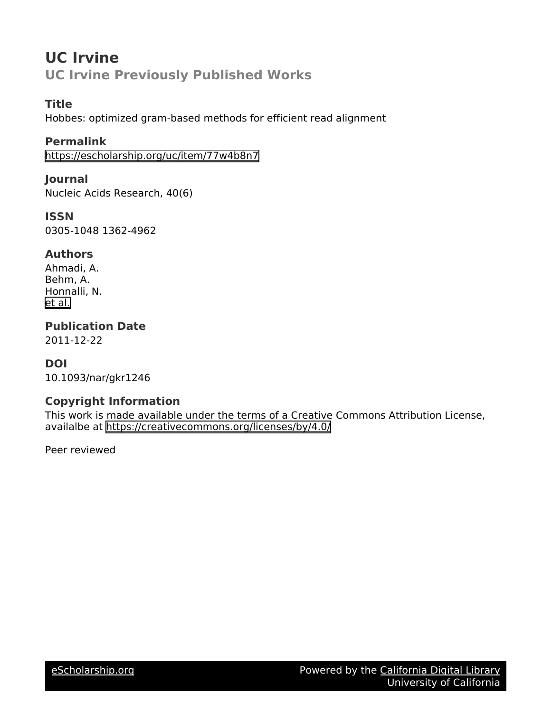# **UC Irvine UC Irvine Previously Published Works**

# **Title**

Hobbes: optimized gram-based methods for efficient read alignment

# **Permalink**

<https://escholarship.org/uc/item/77w4b8n7>

# **Journal**

Nucleic Acids Research, 40(6)

**ISSN** 0305-1048 1362-4962

# **Authors**

Ahmadi, A. Behm, A. Honnalli, N. [et al.](https://escholarship.org/uc/item/77w4b8n7#author)

# **Publication Date**

2011-12-22

# **DOI**

10.1093/nar/gkr1246

# **Copyright Information**

This work is made available under the terms of a Creative Commons Attribution License, availalbe at <https://creativecommons.org/licenses/by/4.0/>

Peer reviewed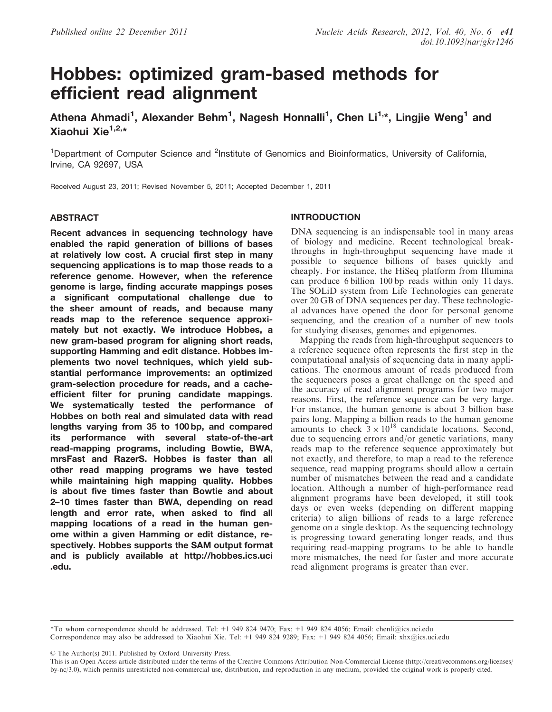# Hobbes: optimized gram-based methods for efficient read alignment

Athena Ahmadi<sup>1</sup>, Alexander Behm<sup>1</sup>, Nagesh Honnalli<sup>1</sup>, Chen Li<sup>1,</sup>\*, Lingjie Weng<sup>1</sup> and Xiaohui Xie $1,2,*$ 

<sup>1</sup>Department of Computer Science and <sup>2</sup>Institute of Genomics and Bioinformatics, University of California, Irvine, CA 92697, USA

Received August 23, 2011; Revised November 5, 2011; Accepted December 1, 2011

# ABSTRACT

Recent advances in sequencing technology have enabled the rapid generation of billions of bases at relatively low cost. A crucial first step in many sequencing applications is to map those reads to a reference genome. However, when the reference genome is large, finding accurate mappings poses a significant computational challenge due to the sheer amount of reads, and because many reads map to the reference sequence approximately but not exactly. We introduce Hobbes, a new gram-based program for aligning short reads, supporting Hamming and edit distance. Hobbes implements two novel techniques, which yield substantial performance improvements: an optimized gram-selection procedure for reads, and a cacheefficient filter for pruning candidate mappings. We systematically tested the performance of Hobbes on both real and simulated data with read lengths varying from 35 to 100 bp, and compared its performance with several state-of-the-art read-mapping programs, including Bowtie, BWA, mrsFast and RazerS. Hobbes is faster than all other read mapping programs we have tested while maintaining high mapping quality. Hobbes is about five times faster than Bowtie and about 2–10 times faster than BWA, depending on read length and error rate, when asked to find all mapping locations of a read in the human genome within a given Hamming or edit distance, respectively. Hobbes supports the SAM output format and is publicly available at [http://hobbes.ics.uci](http://hobbes.ics.uci.edu) [.edu](http://hobbes.ics.uci.edu).

# INTRODUCTION

DNA sequencing is an indispensable tool in many areas of biology and medicine. Recent technological breakthroughs in high-throughput sequencing have made it possible to sequence billions of bases quickly and cheaply. For instance, the HiSeq platform from Illumina can produce 6 billion 100 bp reads within only 11 days. The SOLiD system from Life Technologies can generate over 20 GB of DNA sequences per day. These technological advances have opened the door for personal genome sequencing, and the creation of a number of new tools for studying diseases, genomes and epigenomes.

Mapping the reads from high-throughput sequencers to a reference sequence often represents the first step in the computational analysis of sequencing data in many applications. The enormous amount of reads produced from the sequencers poses a great challenge on the speed and the accuracy of read alignment programs for two major reasons. First, the reference sequence can be very large. For instance, the human genome is about 3 billion base pairs long. Mapping a billion reads to the human genome amounts to check  $3 \times 10^{18}$  candidate locations. Second, due to sequencing errors and/or genetic variations, many reads map to the reference sequence approximately but not exactly, and therefore, to map a read to the reference sequence, read mapping programs should allow a certain number of mismatches between the read and a candidate location. Although a number of high-performance read alignment programs have been developed, it still took days or even weeks (depending on different mapping criteria) to align billions of reads to a large reference genome on a single desktop. As the sequencing technology is progressing toward generating longer reads, and thus requiring read-mapping programs to be able to handle more mismatches, the need for faster and more accurate read alignment programs is greater than ever.

\*To whom correspondence should be addressed. Tel: +1 949 824 9470; Fax: +1 949 824 4056; Email: chenli@ics.uci.edu Correspondence may also be addressed to Xiaohui Xie. Tel: +1 949 824 9289; Fax: +1 949 824 4056; Email: xhx@ics.uci.edu

© The Author(s) 2011. Published by Oxford University Press.

This is an Open Access article distributed under the terms of the Creative Commons Attribution Non-Commercial License (http://creativecommons.org/licenses/ by-nc/3.0), which permits unrestricted non-commercial use, distribution, and reproduction in any medium, provided the original work is properly cited.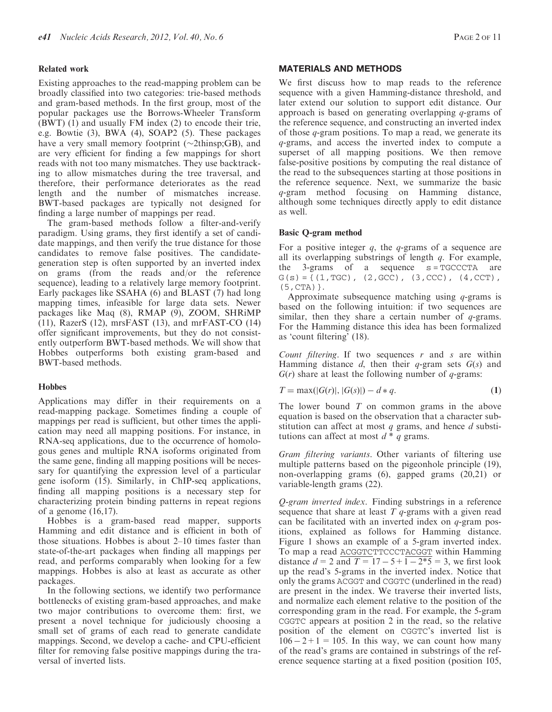### Related work

Existing approaches to the read-mapping problem can be broadly classified into two categories: trie-based methods and gram-based methods. In the first group, most of the popular packages use the Borrows-Wheeler Transform (BWT) ([1\)](#page-11-0) and usually FM index ([2\)](#page-11-0) to encode their trie, e.g. Bowtie [\(3](#page-11-0)), BWA ([4\)](#page-11-0), SOAP2 [\(5](#page-11-0)). These packages have a very small memory footprint ( $\sim$ 2thinsp;GB), and are very efficient for finding a few mappings for short reads with not too many mismatches. They use backtracking to allow mismatches during the tree traversal, and therefore, their performance deteriorates as the read length and the number of mismatches increase. BWT-based packages are typically not designed for finding a large number of mappings per read.

The gram-based methods follow a filter-and-verify paradigm. Using grams, they first identify a set of candidate mappings, and then verify the true distance for those candidates to remove false positives. The candidategeneration step is often supported by an inverted index on grams (from the reads and/or the reference sequence), leading to a relatively large memory footprint. Early packages like SSAHA ([6\)](#page-11-0) and BLAST [\(7](#page-11-0)) had long mapping times, infeasible for large data sets. Newer packages like Maq [\(8](#page-11-0)), RMAP ([9\)](#page-11-0), ZOOM, SHRiMP ([11\)](#page-11-0), RazerS [\(12](#page-11-0)), mrsFAST ([13\)](#page-11-0), and mrFAST-CO [\(14](#page-11-0)) offer significant improvements, but they do not consistently outperform BWT-based methods. We will show that Hobbes outperforms both existing gram-based and BWT-based methods.

#### **Hobbes**

Applications may differ in their requirements on a read-mapping package. Sometimes finding a couple of mappings per read is sufficient, but other times the application may need all mapping positions. For instance, in RNA-seq applications, due to the occurrence of homologous genes and multiple RNA isoforms originated from the same gene, finding all mapping positions will be necessary for quantifying the expression level of a particular gene isoform ([15\)](#page-11-0). Similarly, in ChIP-seq applications, finding all mapping positions is a necessary step for characterizing protein binding patterns in repeat regions of a genome [\(16,17](#page-11-0)).

Hobbes is a gram-based read mapper, supports Hamming and edit distance and is efficient in both of those situations. Hobbes is about 2–10 times faster than state-of-the-art packages when finding all mappings per read, and performs comparably when looking for a few mappings. Hobbes is also at least as accurate as other packages.

In the following sections, we identify two performance bottlenecks of existing gram-based approaches, and make two major contributions to overcome them: first, we present a novel technique for judiciously choosing a small set of grams of each read to generate candidate mappings. Second, we develop a cache- and CPU-efficient filter for removing false positive mappings during the traversal of inverted lists.

### MATERIALS AND METHODS

We first discuss how to map reads to the reference sequence with a given Hamming-distance threshold, and later extend our solution to support edit distance. Our approach is based on generating overlapping q-grams of the reference sequence, and constructing an inverted index of those q-gram positions. To map a read, we generate its q-grams, and access the inverted index to compute a superset of all mapping positions. We then remove false-positive positions by computing the real distance of the read to the subsequences starting at those positions in the reference sequence. Next, we summarize the basic q-gram method focusing on Hamming distance, although some techniques directly apply to edit distance as well.

### Basic Q-gram method

For a positive integer  $q$ , the  $q$ -grams of a sequence are all its overlapping substrings of length  $q$ . For example, the 3-grams of a sequence  $s = TGCCCTA$  are  $G(s) = \{(1, TGC), (2, GCC), (3, CCC), (4, CCT),\}$ (5,CTA)}.

Approximate subsequence matching using  $q$ -grams is based on the following intuition: if two sequences are similar, then they share a certain number of *q*-grams. For the Hamming distance this idea has been formalized as 'count filtering' [\(18\)](#page-11-0).

Count filtering. If two sequences  $r$  and  $s$  are within Hamming distance d, then their q-gram sets  $G(s)$  and  $G(r)$  share at least the following number of q-grams:

$$
T = \max(|G(r)|, |G(s)|) - d * q. \tag{1}
$$

The lower bound  $T$  on common grams in the above equation is based on the observation that a character substitution can affect at most  $q$  grams, and hence  $d$  substitutions can affect at most  $d * q$  grams.

Gram filtering variants. Other variants of filtering use multiple patterns based on the pigeonhole principle ([19](#page-11-0)), non-overlapping grams ([6\)](#page-11-0), gapped grams [\(20,21\)](#page-11-0) or variable-length grams ([22\)](#page-11-0).

Q-gram inverted index. Finding substrings in a reference sequence that share at least  $T$   $q$ -grams with a given read can be facilitated with an inverted index on  $q$ -gram positions, explained as follows for Hamming distance. [Figure 1](#page-3-0) shows an example of a 5-gram inverted index. To map a read ACGGTCTTCCCTACGGT within Hamming distance  $d = 2$  and  $T = 17 - 5 + 1 - 2*5 = 3$ , we first look up the read's 5-grams in the inverted index. Notice that only the grams ACGGT and CGGTC (underlined in the read) are present in the index. We traverse their inverted lists, and normalize each element relative to the position of the corresponding gram in the read. For example, the 5-gram CGGTC appears at position 2 in the read, so the relative position of the element on CGGTC's inverted list is  $106 - 2 + 1 = 105$ . In this way, we can count how many of the read's grams are contained in substrings of the reference sequence starting at a fixed position (position 105,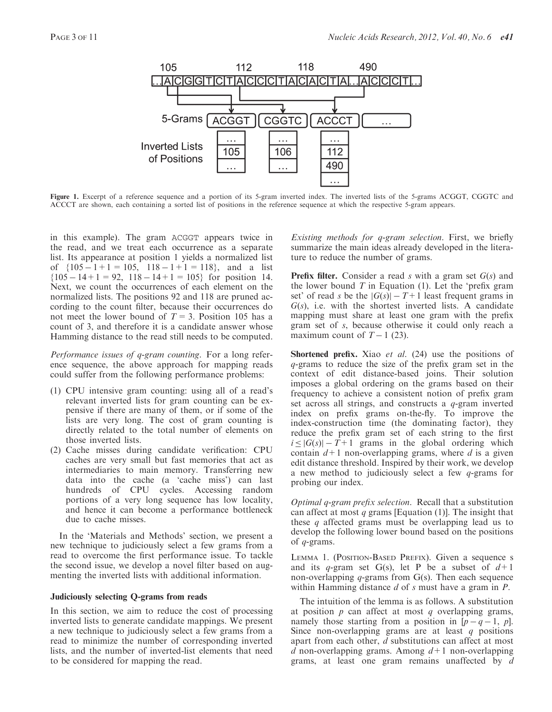<span id="page-3-0"></span>

Figure 1. Excerpt of a reference sequence and a portion of its 5-gram inverted index. The inverted lists of the 5-grams ACGGT, CGGTC and ACCCT are shown, each containing a sorted list of positions in the reference sequence at which the respective 5-gram appears.

in this example). The gram ACGGT appears twice in the read, and we treat each occurrence as a separate list. Its appearance at position 1 yields a normalized list of  ${105 - 1 + 1 = 105, 118 - 1 + 1 = 118}$ , and a list  ${105 - 14 + 1 = 92, 118 - 14 + 1 = 105}$  for position 14. Next, we count the occurrences of each element on the normalized lists. The positions 92 and 118 are pruned according to the count filter, because their occurrences do not meet the lower bound of  $T = 3$ . Position 105 has a count of 3, and therefore it is a candidate answer whose Hamming distance to the read still needs to be computed.

Performance issues of q-gram counting. For a long reference sequence, the above approach for mapping reads could suffer from the following performance problems:

- (1) CPU intensive gram counting: using all of a read's relevant inverted lists for gram counting can be expensive if there are many of them, or if some of the lists are very long. The cost of gram counting is directly related to the total number of elements on those inverted lists.
- (2) Cache misses during candidate verification: CPU caches are very small but fast memories that act as intermediaries to main memory. Transferring new data into the cache (a 'cache miss') can last hundreds of CPU cycles. Accessing random portions of a very long sequence has low locality, and hence it can become a performance bottleneck due to cache misses.

In the 'Materials and Methods' section, we present a new technique to judiciously select a few grams from a read to overcome the first performance issue. To tackle the second issue, we develop a novel filter based on augmenting the inverted lists with additional information.

### Judiciously selecting Q-grams from reads

In this section, we aim to reduce the cost of processing inverted lists to generate candidate mappings. We present a new technique to judiciously select a few grams from a read to minimize the number of corresponding inverted lists, and the number of inverted-list elements that need to be considered for mapping the read.

Existing methods for q-gram selection. First, we briefly summarize the main ideas already developed in the literature to reduce the number of grams.

**Prefix filter.** Consider a read s with a gram set  $G(s)$  and the lower bound  $T$  in Equation (1). Let the 'prefix gram set' of read s be the  $|G(s)| - T + 1$  least frequent grams in  $G(s)$ , i.e. with the shortest inverted lists. A candidate mapping must share at least one gram with the prefix gram set of s, because otherwise it could only reach a maximum count of  $T - 1$  ([23\)](#page-11-0).

Shortened prefix. Xiao et al.  $(24)$  $(24)$  use the positions of q-grams to reduce the size of the prefix gram set in the context of edit distance-based joins. Their solution imposes a global ordering on the grams based on their frequency to achieve a consistent notion of prefix gram set across all strings, and constructs a q-gram inverted index on prefix grams on-the-fly. To improve the index-construction time (the dominating factor), they reduce the prefix gram set of each string to the first  $i < |G(s)| - T + 1$  grams in the global ordering which contain  $d+1$  non-overlapping grams, where d is a given edit distance threshold. Inspired by their work, we develop a new method to judiciously select a few q-grams for probing our index.

Optimal q-gram prefix selection. Recall that a substitution can affect at most q grams [Equation (1)]. The insight that these  $q$  affected grams must be overlapping lead us to develop the following lower bound based on the positions of q-grams.

LEMMA 1. (POSITION-BASED PREFIX). Given a sequence s and its q-gram set G(s), let P be a subset of  $d+1$ non-overlapping  $q$ -grams from  $G(s)$ . Then each sequence within Hamming distance  $d$  of  $s$  must have a gram in  $P$ .

The intuition of the lemma is as follows. A substitution at position  $p$  can affect at most  $q$  overlapping grams, namely those starting from a position in  $[p - q - 1, p]$ . Since non-overlapping grams are at least  $q$  positions apart from each other, d substitutions can affect at most d non-overlapping grams. Among  $d+1$  non-overlapping grams, at least one gram remains unaffected by d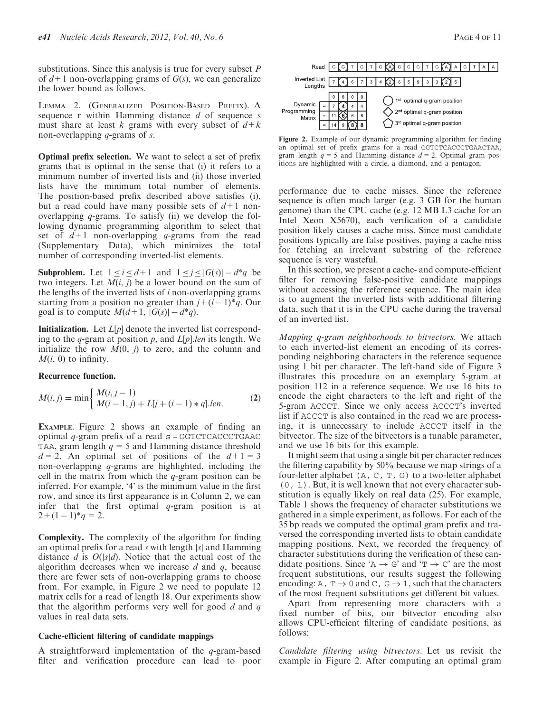substitutions. Since this analysis is true for every subset  $$ of  $d+1$  non-overlapping grams of  $G(s)$ , we can generalize the lower bound as follows.

LEMMA 2. (GENERALIZED POSITION-BASED PREFIX). A sequence r within Hamming distance d of sequence s must share at least k grams with every subset of  $d+k$ non-overlapping  $q$ -grams of  $s$ .

Optimal prefix selection. We want to select a set of prefix grams that is optimal in the sense that (i) it refers to a minimum number of inverted lists and (ii) those inverted lists have the minimum total number of elements. The position-based prefix described above satisfies (i), but a read could have many possible sets of  $d+1$  nonoverlapping  $q$ -grams. To satisfy (ii) we develop the following dynamic programming algorithm to select that set of  $d+1$  non-overlapping q-grams from the read ([Supplementary Data\)](http://nar.oxfordjournals.org/cgi/content/full/gkr1246/DC1), which minimizes the total number of corresponding inverted-list elements.

**Subproblem.** Let  $1 \le i \le d+1$  and  $1 \le j \le |G(s)| - d^*q$  be two integers. Let  $M(i, j)$  be a lower bound on the sum of the lengths of the inverted lists of  $i$  non-overlapping grams starting from a position no greater than  $j+(i-1)*q$ . Our goal is to compute  $M(d+1, |G(s)| - d^*q)$ .

**Initialization.** Let  $L[p]$  denote the inverted list corresponding to the q-gram at position  $p$ , and  $L[p]$ . len its length. We initialize the row  $M(0, j)$  to zero, and the column and  $M(i, 0)$  to infinity.

#### Recurrence function.

$$
M(i, j) = \min \begin{cases} M(i, j - 1) \\ M(i - 1, j) + L[j + (i - 1) * q].len. \end{cases}
$$
 (2)

EXAMPLE. Figure 2 shows an example of finding an optimal  $q$ -gram prefix of a read  $s = GGTCTCACCCTGAAC$ TAA, gram length  $q = 5$  and Hamming distance threshold  $d=2$ . An optimal set of positions of the  $d+1=3$ non-overlapping q-grams are highlighted, including the cell in the matrix from which the  $q$ -gram position can be inferred. For example, '4' is the minimum value in the first row, and since its first appearance is in Column 2, we can infer that the first optimal  $q$ -gram position is at  $2+(1-1)*q=2.$ 

Complexity. The complexity of the algorithm for finding an optimal prefix for a read s with length  $|s|$  and Hamming distance d is  $O(|s|d)$ . Notice that the actual cost of the algorithm decreases when we increase  $d$  and  $q$ , because there are fewer sets of non-overlapping grams to choose from. For example, in Figure 2 we need to populate 12 matrix cells for a read of length 18. Our experiments show that the algorithm performs very well for good  $d$  and  $q$ values in real data sets.

#### Cache-efficient filtering of candidate mappings

A straightforward implementation of the q-gram-based filter and verification procedure can lead to poor



Figure 2. Example of our dynamic programming algorithm for finding an optimal set of prefix grams for a read GGTCTCACCCTGAACTAA, gram length  $q = 5$  and Hamming distance  $d = 2$ . Optimal gram positions are highlighted with a circle, a diamond, and a pentagon.

performance due to cache misses. Since the reference sequence is often much larger (e.g. 3 GB for the human genome) than the CPU cache (e.g. 12 MB L3 cache for an Intel Xeon X5670), each verification of a candidate position likely causes a cache miss. Since most candidate positions typically are false positives, paying a cache miss for fetching an irrelevant substring of the reference sequence is very wasteful.

In this section, we present a cache- and compute-efficient filter for removing false-positive candidate mappings without accessing the reference sequence. The main idea is to augment the inverted lists with additional filtering data, such that it is in the CPU cache during the traversal of an inverted list.

Mapping q-gram neighborhoods to bitvectors. We attach to each inverted-list element an encoding of its corresponding neighboring characters in the reference sequence using 1 bit per character. The left-hand side of [Figure 3](#page-5-0) illustrates this procedure on an exemplary 5-gram at position 112 in a reference sequence. We use 16 bits to encode the eight characters to the left and right of the 5-gram ACCCT. Since we only access ACCCT's inverted list if ACCCT is also contained in the read we are processing, it is unnecessary to include ACCCT itself in the bitvector. The size of the bitvectors is a tunable parameter, and we use 16 bits for this example.

It might seem that using a single bit per character reduces the filtering capability by 50% because we map strings of a four-letter alphabet  $(A, C, T, G)$  to a two-letter alphabet (0, 1). But, it is well known that not every character substitution is equally likely on real data ([25\)](#page-11-0). For example, [Table 1](#page-5-0) shows the frequency of character substitutions we gathered in a simple experiment, as follows. For each of the 35 bp reads we computed the optimal gram prefix and traversed the corresponding inverted lists to obtain candidate mapping positions. Next, we recorded the frequency of character substitutions during the verification of these candidate positions. Since 'A  $\rightarrow$  G' and 'T  $\rightarrow$  C' are the most frequent substitutions, our results suggest the following encoding: A,  $T \Rightarrow 0$  and C,  $G \Rightarrow 1$ , such that the characters of the most frequent substitutions get different bit values.

Apart from representing more characters with a fixed number of bits, our bitvector encoding also allows CPU-efficient filtering of candidate positions, as follows:

Candidate filtering using bitvectors. Let us revisit the example in Figure 2. After computing an optimal gram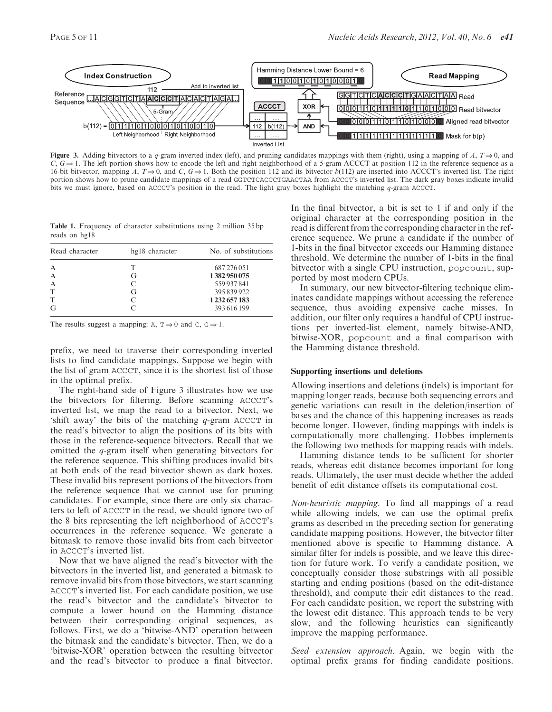<span id="page-5-0"></span>

**Figure 3.** Adding bitvectors to a q-gram inverted index (left), and pruning candidates mappings with them (right), using a mapping of A,  $T \Rightarrow 0$ , and  $C, G \Rightarrow 1$ . The left portion shows how to encode the left and right neighborhood of a 5-gram ACCCT at position 112 in the reference sequence as a 16-bit bitvector, mapping A,  $T \Rightarrow 0$ , and C,  $G \Rightarrow 1$ . Both the position 112 and its bitvector  $b(112)$  are inserted into ACCCT's inverted list. The right portion shows how to prune candidate mappings of a read GGTCTCACCCTGAACTAA from ACCCT's inverted list. The dark gray boxes indicate invalid bits we must ignore, based on ACCCT's position in the read. The light gray boxes highlight the matching q-gram ACCCT.

Table 1. Frequency of character substitutions using 2 million 35 bp reads on hg18

| hg18 character | No. of substitutions |
|----------------|----------------------|
|                | 687276051            |
| G              | 1382950075           |
| C              | 559 937 841          |
| G              | 395839922            |
| C              | 1232657183           |
| ⊂              | 393 616 199          |
|                |                      |

The results suggest a mapping: A,  $T \Rightarrow 0$  and C,  $G \Rightarrow 1$ .

prefix, we need to traverse their corresponding inverted lists to find candidate mappings. Suppose we begin with the list of gram ACCCT, since it is the shortest list of those in the optimal prefix.

The right-hand side of Figure 3 illustrates how we use the bitvectors for filtering. Before scanning ACCCT's inverted list, we map the read to a bitvector. Next, we 'shift away' the bits of the matching q-gram ACCCT in the read's bitvector to align the positions of its bits with those in the reference-sequence bitvectors. Recall that we omitted the q-gram itself when generating bitvectors for the reference sequence. This shifting produces invalid bits at both ends of the read bitvector shown as dark boxes. These invalid bits represent portions of the bitvectors from the reference sequence that we cannot use for pruning candidates. For example, since there are only six characters to left of ACCCT in the read, we should ignore two of the 8 bits representing the left neighborhood of ACCCT's occurrences in the reference sequence. We generate a bitmask to remove those invalid bits from each bitvector in ACCCT's inverted list.

Now that we have aligned the read's bitvector with the bitvectors in the inverted list, and generated a bitmask to remove invalid bits from those bitvectors, we start scanning ACCCT's inverted list. For each candidate position, we use the read's bitvector and the candidate's bitvector to compute a lower bound on the Hamming distance between their corresponding original sequences, as follows. First, we do a 'bitwise-AND' operation between the bitmask and the candidate's bitvector. Then, we do a 'bitwise-XOR' operation between the resulting bitvector and the read's bitvector to produce a final bitvector. In the final bitvector, a bit is set to 1 if and only if the original character at the corresponding position in the read is different from the corresponding character in the reference sequence. We prune a candidate if the number of 1-bits in the final bitvector exceeds our Hamming distance threshold. We determine the number of 1-bits in the final bitvector with a single CPU instruction, popcount, supported by most modern CPUs.

In summary, our new bitvector-filtering technique eliminates candidate mappings without accessing the reference sequence, thus avoiding expensive cache misses. In addition, our filter only requires a handful of CPU instructions per inverted-list element, namely bitwise-AND, bitwise-XOR, popcount and a final comparison with the Hamming distance threshold.

#### Supporting insertions and deletions

Allowing insertions and deletions (indels) is important for mapping longer reads, because both sequencing errors and genetic variations can result in the deletion/insertion of bases and the chance of this happening increases as reads become longer. However, finding mappings with indels is computationally more challenging. Hobbes implements the following two methods for mapping reads with indels.

Hamming distance tends to be sufficient for shorter reads, whereas edit distance becomes important for long reads. Ultimately, the user must decide whether the added benefit of edit distance offsets its computational cost.

Non-heuristic mapping. To find all mappings of a read while allowing indels, we can use the optimal prefix grams as described in the preceding section for generating candidate mapping positions. However, the bitvector filter mentioned above is specific to Hamming distance. A similar filter for indels is possible, and we leave this direction for future work. To verify a candidate position, we conceptually consider those substrings with all possible starting and ending positions (based on the edit-distance threshold), and compute their edit distances to the read. For each candidate position, we report the substring with the lowest edit distance. This approach tends to be very slow, and the following heuristics can significantly improve the mapping performance.

Seed extension approach. Again, we begin with the optimal prefix grams for finding candidate positions.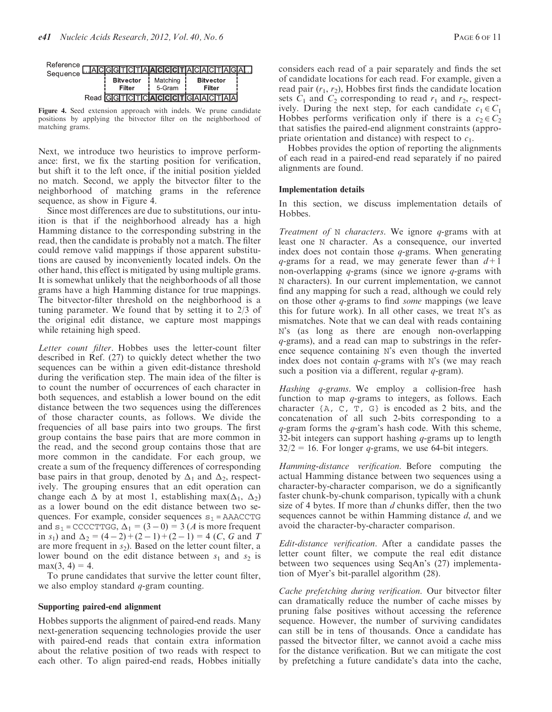| Reference,<br>Sequence <sup>1</sup> | <u> IAICIGIGITICITIAIAICICICITIAICIAICITIAIGIAI</u> |                    |  |                  |        |  |  |
|-------------------------------------|-----------------------------------------------------|--------------------|--|------------------|--------|--|--|
|                                     | <b>Bitvector</b><br>Filter                          | Matching<br>5-Gram |  | <b>Bitvector</b> | Filter |  |  |
|                                     | Read GGITICITICIAICICITIGIAIAICITIAIAI              |                    |  |                  |        |  |  |

Figure 4. Seed extension approach with indels. We prune candidate positions by applying the bitvector filter on the neighborhood of matching grams.

Next, we introduce two heuristics to improve performance: first, we fix the starting position for verification, but shift it to the left once, if the initial position yielded no match. Second, we apply the bitvector filter to the neighborhood of matching grams in the reference sequence, as show in Figure 4.

Since most differences are due to substitutions, our intuition is that if the neighborhood already has a high Hamming distance to the corresponding substring in the read, then the candidate is probably not a match. The filter could remove valid mappings if those apparent substitutions are caused by inconveniently located indels. On the other hand, this effect is mitigated by using multiple grams. It is somewhat unlikely that the neighborhoods of all those grams have a high Hamming distance for true mappings. The bitvector-filter threshold on the neighborhood is a tuning parameter. We found that by setting it to 2/3 of the original edit distance, we capture most mappings while retaining high speed.

Letter count filter. Hobbes uses the letter-count filter described in Ref. ([27\)](#page-11-0) to quickly detect whether the two sequences can be within a given edit-distance threshold during the verification step. The main idea of the filter is to count the number of occurrences of each character in both sequences, and establish a lower bound on the edit distance between the two sequences using the differences of those character counts, as follows. We divide the frequencies of all base pairs into two groups. The first group contains the base pairs that are more common in the read, and the second group contains those that are more common in the candidate. For each group, we create a sum of the frequency differences of corresponding base pairs in that group, denoted by  $\Delta_1$  and  $\Delta_2$ , respectively. The grouping ensures that an edit operation can change each  $\Delta$  by at most 1, establishing max( $\Delta_1$ ,  $\Delta_2$ ) as a lower bound on the edit distance between two sequences. For example, consider sequences  $s_1$  = AAACCTG and  $s_1$  = CCCCTTGG,  $\Delta_1 = (3 - 0) = 3$  (*A* is more frequent in  $s_1$ ) and  $\Delta_2 = (4-2)+(2-1)+(2-1) = 4$  (C, G and T are more frequent in  $s_2$ ). Based on the letter count filter, a lower bound on the edit distance between  $s_1$  and  $s_2$  is  $max(3, 4) = 4.$ 

To prune candidates that survive the letter count filter, we also employ standard  $q$ -gram counting.

#### Supporting paired-end alignment

Hobbes supports the alignment of paired-end reads. Many next-generation sequencing technologies provide the user with paired-end reads that contain extra information about the relative position of two reads with respect to each other. To align paired-end reads, Hobbes initially considers each read of a pair separately and finds the set of candidate locations for each read. For example, given a read pair  $(r_1, r_2)$ , Hobbes first finds the candidate location sets  $C_1$  and  $C_2$  corresponding to read  $r_1$  and  $r_2$ , respectively. During the next step, for each candidate  $c_1 \in C_1$ Hobbes performs verification only if there is a  $c_2 \in C_2$ that satisfies the paired-end alignment constraints (appropriate orientation and distance) with respect to  $c_1$ .

Hobbes provides the option of reporting the alignments of each read in a paired-end read separately if no paired alignments are found.

#### Implementation details

In this section, we discuss implementation details of Hobbes.

Treatment of N characters. We ignore q-grams with at least one N character. As a consequence, our inverted index does not contain those q-grams. When generating q-grams for a read, we may generate fewer than  $d+1$ non-overlapping  $q$ -grams (since we ignore  $q$ -grams with N characters). In our current implementation, we cannot find any mapping for such a read, although we could rely on those other q-grams to find some mappings (we leave this for future work). In all other cases, we treat N's as mismatches. Note that we can deal with reads containing N's (as long as there are enough non-overlapping q-grams), and a read can map to substrings in the reference sequence containing N's even though the inverted index does not contain  $q$ -grams with N's (we may reach such a position via a different, regular  $q$ -gram).

Hashing *q-grams*. We employ a collision-free hash function to map q-grams to integers, as follows. Each character  ${A, C, T, G}$  is encoded as 2 bits, and the concatenation of all such 2-bits corresponding to a  $q$ -gram forms the  $q$ -gram's hash code. With this scheme, 32-bit integers can support hashing  $q$ -grams up to length  $32/2 = 16$ . For longer *q*-grams, we use 64-bit integers.

Hamming-distance verification. Before computing the actual Hamming distance between two sequences using a character-by-character comparison, we do a significantly faster chunk-by-chunk comparison, typically with a chunk size of 4 bytes. If more than d chunks differ, then the two sequences cannot be within Hamming distance  $d$ , and we avoid the character-by-character comparison.

Edit-distance verification. After a candidate passes the letter count filter, we compute the real edit distance between two sequences using SeqAn's ([27](#page-11-0)) implementation of Myer's bit-parallel algorithm [\(28](#page-11-0)).

Cache prefetching during verification. Our bitvector filter can dramatically reduce the number of cache misses by pruning false positives without accessing the reference sequence. However, the number of surviving candidates can still be in tens of thousands. Once a candidate has passed the bitvector filter, we cannot avoid a cache miss for the distance verification. But we can mitigate the cost by prefetching a future candidate's data into the cache,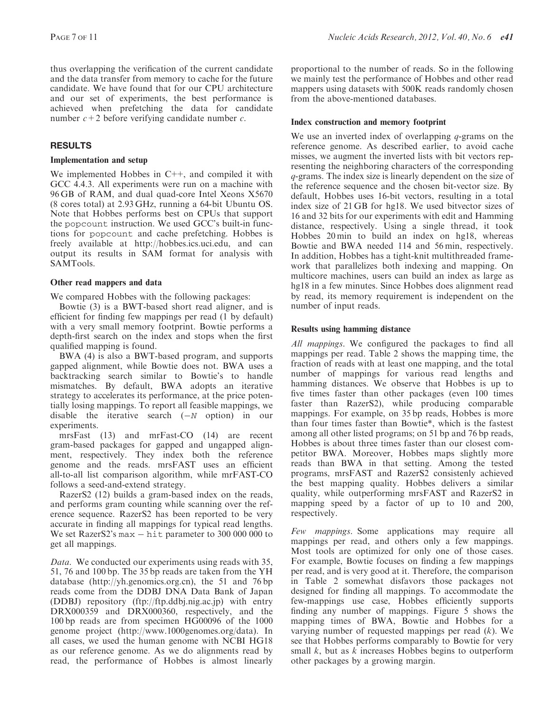thus overlapping the verification of the current candidate and the data transfer from memory to cache for the future candidate. We have found that for our CPU architecture and our set of experiments, the best performance is achieved when prefetching the data for candidate number  $c+2$  before verifying candidate number c.

# RESULTS

### Implementation and setup

We implemented Hobbes in C++, and compiled it with GCC 4.4.3. All experiments were run on a machine with 96 GB of RAM, and dual quad-core Intel Xeons X5670 (8 cores total) at 2.93 GHz, running a 64-bit Ubuntu OS. Note that Hobbes performs best on CPUs that support the popcount instruction. We used GCC's built-in functions for popcount and cache prefetching. Hobbes is freely available at<http://hobbes.ics.uci.edu>, and can output its results in SAM format for analysis with SAMTools.

# Other read mappers and data

We compared Hobbes with the following packages:

Bowtie [\(3](#page-11-0)) is a BWT-based short read aligner, and is efficient for finding few mappings per read (1 by default) with a very small memory footprint. Bowtie performs a depth-first search on the index and stops when the first qualified mapping is found.

BWA ([4\)](#page-11-0) is also a BWT-based program, and supports gapped alignment, while Bowtie does not. BWA uses a backtracking search similar to Bowtie's to handle mismatches. By default, BWA adopts an iterative strategy to accelerates its performance, at the price potentially losing mappings. To report all feasible mappings, we disable the iterative search  $(-N \text{ option})$  in our experiments.

mrsFast ([13\)](#page-11-0) and mrFast-CO ([14\)](#page-11-0) are recent gram-based packages for gapped and ungapped alignment, respectively. They index both the reference genome and the reads. mrsFAST uses an efficient all-to-all list comparison algorithm, while mrFAST-CO follows a seed-and-extend strategy.

RazerS2 ([12\)](#page-11-0) builds a gram-based index on the reads, and performs gram counting while scanning over the reference sequence. RazerS2 has been reported to be very accurate in finding all mappings for typical read lengths. We set RazerS2's max  $-$  hit parameter to 300 000 000 to get all mappings.

Data. We conducted our experiments using reads with 35, 51, 76 and 100 bp. The 35 bp reads are taken from the YH database [\(http://yh.genomics.org.cn\)](http://yh.genomics.org.cn), the 51 and 76 bp reads come from the DDBJ DNA Data Bank of Japan (DDBJ) repository ([ftp://ftp.ddbj.nig.ac.jp\)](ftp://ftp.ddbj.nig.ac.jp) with entry DRX000359 and DRX000360, respectively, and the 100 bp reads are from specimen HG00096 of the 1000 genome project [\(http://www.1000genomes.org/data](http://www.1000genomes.org/data)). In all cases, we used the human genome with NCBI HG18 as our reference genome. As we do alignments read by read, the performance of Hobbes is almost linearly proportional to the number of reads. So in the following we mainly test the performance of Hobbes and other read mappers using datasets with 500K reads randomly chosen from the above-mentioned databases.

# Index construction and memory footprint

We use an inverted index of overlapping  $q$ -grams on the reference genome. As described earlier, to avoid cache misses, we augment the inverted lists with bit vectors representing the neighboring characters of the corresponding q-grams. The index size is linearly dependent on the size of the reference sequence and the chosen bit-vector size. By default, Hobbes uses 16-bit vectors, resulting in a total index size of 21 GB for hg18. We used bitvector sizes of 16 and 32 bits for our experiments with edit and Hamming distance, respectively. Using a single thread, it took Hobbes 20 min to build an index on hg18, whereas Bowtie and BWA needed 114 and 56 min, respectively. In addition, Hobbes has a tight-knit multithreaded framework that parallelizes both indexing and mapping. On multicore machines, users can build an index as large as hg18 in a few minutes. Since Hobbes does alignment read by read, its memory requirement is independent on the number of input reads.

# Results using hamming distance

All mappings. We configured the packages to find all mappings per read. [Table 2](#page-8-0) shows the mapping time, the fraction of reads with at least one mapping, and the total number of mappings for various read lengths and hamming distances. We observe that Hobbes is up to five times faster than other packages (even 100 times faster than RazerS2), while producing comparable mappings. For example, on 35 bp reads, Hobbes is more than four times faster than Bowtie\*, which is the fastest among all other listed programs; on 51 bp and 76 bp reads, Hobbes is about three times faster than our closest competitor BWA. Moreover, Hobbes maps slightly more reads than BWA in that setting. Among the tested programs, mrsFAST and RazerS2 consistenly achieved the best mapping quality. Hobbes delivers a similar quality, while outperforming mrsFAST and RazerS2 in mapping speed by a factor of up to 10 and 200, respectively.

Few mappings. Some applications may require all mappings per read, and others only a few mappings. Most tools are optimized for only one of those cases. For example, Bowtie focuses on finding a few mappings per read, and is very good at it. Therefore, the comparison in [Table 2](#page-8-0) somewhat disfavors those packages not designed for finding all mappings. To accommodate the few-mappings use case, Hobbes efficiently supports finding any number of mappings. [Figure 5](#page-8-0) shows the mapping times of BWA, Bowtie and Hobbes for a varying number of requested mappings per read  $(k)$ . We see that Hobbes performs comparably to Bowtie for very small  $k$ , but as  $k$  increases Hobbes begins to outperform other packages by a growing margin.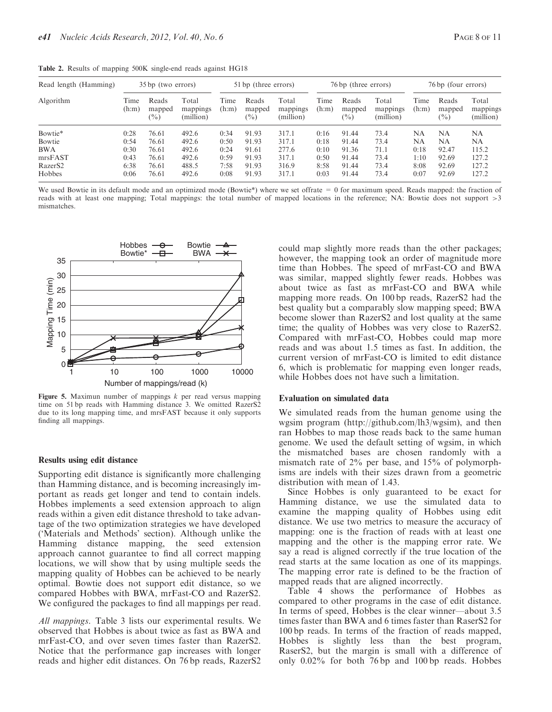| Read length (Hamming) |               | 35 bp (two errors)     |                                |               | 51 bp (three errors)      |                                |               | 76 bp (three errors)      |                                |               | 76 bp (four errors)              |                                |
|-----------------------|---------------|------------------------|--------------------------------|---------------|---------------------------|--------------------------------|---------------|---------------------------|--------------------------------|---------------|----------------------------------|--------------------------------|
| Algorithm             | Time<br>(h:m) | Reads<br>mapped<br>(%) | Total<br>mappings<br>(million) | Time<br>(h:m) | Reads<br>mapped<br>$(\%)$ | Total<br>mappings<br>(million) | Time<br>(h:m) | Reads<br>mapped<br>$(\%)$ | Total<br>mappings<br>(million) | Time<br>(h:m) | Reads<br>mapped<br>$\frac{6}{2}$ | Total<br>mappings<br>(million) |
| Bowtie*               | 0:28          | 76.61                  | 492.6                          | 0:34          | 91.93                     | 317.1                          | 0:16          | 91.44                     | 73.4                           | NA            | NA                               | NA                             |
| Bowtie                | 0:54          | 76.61                  | 492.6                          | 0:50          | 91.93                     | 317.1                          | 0:18          | 91.44                     | 73.4                           | NA            | NA                               | NA                             |
| BWA                   | 0:30          | 76.61                  | 492.6                          | 0:24          | 91.61                     | 277.6                          | 0:10          | 91.36                     | 71.1                           | 0:18          | 92.47                            | 115.2                          |
| mrsFAST               | 0:43          | 76.61                  | 492.6                          | 0:59          | 91.93                     | 317.1                          | 0:50          | 91.44                     | 73.4                           | 1:10          | 92.69                            | 127.2                          |
| RazerS2               | 6:38          | 76.61                  | 488.5                          | 7:58          | 91.93                     | 316.9                          | 8:58          | 91.44                     | 73.4                           | 8:08          | 92.69                            | 127.2                          |
| Hobbes                | 0:06          | 76.61                  | 492.6                          | 0:08          | 91.93                     | 317.1                          | 0:03          | 91.44                     | 73.4                           | 0:07          | 92.69                            | 127.2                          |
|                       |               |                        |                                |               |                           |                                |               |                           |                                |               |                                  |                                |

<span id="page-8-0"></span>Table 2. Results of mapping 500K single-end reads against HG18

We used Bowtie in its default mode and an optimized mode (Bowtie\*) where we set offrate = 0 for maximum speed. Reads mapped: the fraction of reads with at least one mapping; Total mappings: the total number of mapped locations in the reference; NA: Bowtie does not support >3 mismatches.



Figure 5. Maximun number of mappings  $k$  per read versus mapping time on 51 bp reads with Hamming distance 3. We omitted RazerS2 due to its long mapping time, and mrsFAST because it only supports finding all mappings.

#### Results using edit distance

Supporting edit distance is significantly more challenging than Hamming distance, and is becoming increasingly important as reads get longer and tend to contain indels. Hobbes implements a seed extension approach to align reads within a given edit distance threshold to take advantage of the two optimization strategies we have developed ('Materials and Methods' section). Although unlike the Hamming distance mapping, the seed extension approach cannot guarantee to find all correct mapping locations, we will show that by using multiple seeds the mapping quality of Hobbes can be achieved to be nearly optimal. Bowtie does not support edit distance, so we compared Hobbes with BWA, mrFast-CO and RazerS2. We configured the packages to find all mappings per read.

All mappings. [Table 3](#page-9-0) lists our experimental results. We observed that Hobbes is about twice as fast as BWA and mrFast-CO, and over seven times faster than RazerS2. Notice that the performance gap increases with longer reads and higher edit distances. On 76 bp reads, RazerS2

could map slightly more reads than the other packages; however, the mapping took an order of magnitude more time than Hobbes. The speed of mrFast-CO and BWA was similar, mapped slightly fewer reads. Hobbes was about twice as fast as mrFast-CO and BWA while mapping more reads. On 100 bp reads, RazerS2 had the best quality but a comparably slow mapping speed; BWA become slower than RazerS2 and lost quality at the same time; the quality of Hobbes was very close to RazerS2. Compared with mrFast-CO, Hobbes could map more reads and was about 1.5 times as fast. In addition, the current version of mrFast-CO is limited to edit distance 6, which is problematic for mapping even longer reads, while Hobbes does not have such a limitation.

#### Evaluation on simulated data

We simulated reads from the human genome using the wgsim program [\(http://github.com/lh3/wgsim\)](http://github.com/lh3/wgsim), and then ran Hobbes to map those reads back to the same human genome. We used the default setting of wgsim, in which the mismatched bases are chosen randomly with a mismatch rate of 2% per base, and 15% of polymorphisms are indels with their sizes drawn from a geometric distribution with mean of 1.43.

Since Hobbes is only guaranteed to be exact for Hamming distance, we use the simulated data to examine the mapping quality of Hobbes using edit distance. We use two metrics to measure the accuracy of mapping: one is the fraction of reads with at least one mapping and the other is the mapping error rate. We say a read is aligned correctly if the true location of the read starts at the same location as one of its mappings. The mapping error rate is defined to be the fraction of mapped reads that are aligned incorrectly.

[Table 4](#page-9-0) shows the performance of Hobbes as compared to other programs in the case of edit distance. In terms of speed, Hobbes is the clear winner—about 3.5 times faster than BWA and 6 times faster than RaserS2 for 100 bp reads. In terms of the fraction of reads mapped, Hobbes is slightly less than the best program, RaserS2, but the margin is small with a difference of only 0.02% for both 76 bp and 100 bp reads. Hobbes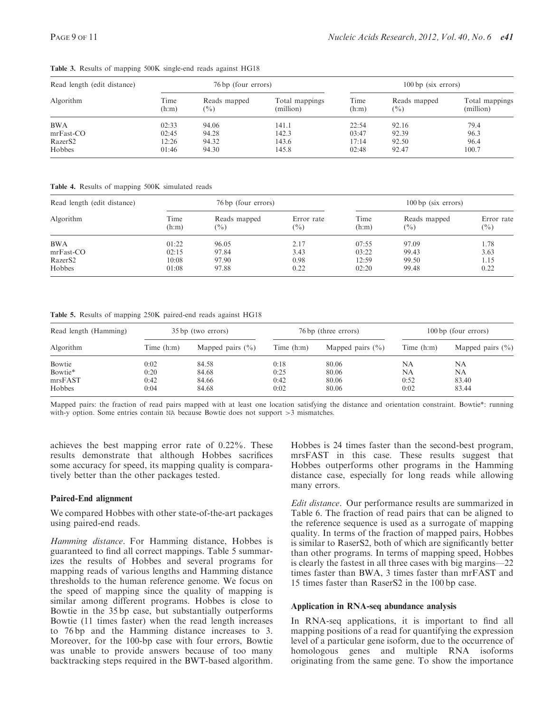| Read length (edit distance) |       | 76 bp (four errors) |                | $100$ bp (six errors) |              |                |  |
|-----------------------------|-------|---------------------|----------------|-----------------------|--------------|----------------|--|
| Algorithm                   | Time  | Reads mapped        | Total mappings | Time                  | Reads mapped | Total mappings |  |
|                             | (h:m) | (%)                 | (million)      | (h:m)                 | $(\%)$       | (million)      |  |
| BWA                         | 02:33 | 94.06               | 141.1          | 22:54                 | 92.16        | 79.4           |  |
| mrFast-CO                   | 02:45 | 94.28               | 142.3          | 03:47                 | 92.39        | 96.3           |  |
| Razer <sub>S2</sub>         | 12:26 | 94.32               | 143.6          | 17:14                 | 92.50        | 96.4           |  |
| Hobbes                      | 01:46 | 94.30               | 145.8          | 02:48                 | 92.47        | 100.7          |  |

<span id="page-9-0"></span>Table 3. Results of mapping 500K single-end reads against HG18

Table 4. Results of mapping 500K simulated reads

| Read length (edit distance) |       | 76 bp (four errors) |            | $100$ bp (six errors) |              |            |  |  |
|-----------------------------|-------|---------------------|------------|-----------------------|--------------|------------|--|--|
| Algorithm                   | Time  | Reads mapped        | Error rate | Time                  | Reads mapped | Error rate |  |  |
|                             | (h:m) | $(\%)$              | $(\%)$     | (h:m)                 | $(\%)$       | $(\%)$     |  |  |
| <b>BWA</b>                  | 01:22 | 96.05               | 2.17       | 07:55                 | 97.09        | 1.78       |  |  |
| mrFast-CO                   | 02:15 | 97.84               | 3.43       | 03:22                 | 99.43        | 3.63       |  |  |
| Razer <sub>S2</sub>         | 10:08 | 97.90               | 0.98       | 12:59                 | 99.50        | 1.15       |  |  |
| Hobbes                      | 01:08 | 97.88               | 0.22       | 02:20                 | 99.48        | 0.22       |  |  |

Table 5. Results of mapping 250K paired-end reads against HG18

| Read length (Hamming) |              | 35 bp (two errors)   |              | 76 bp (three errors) | 100 bp (four errors) |                      |  |
|-----------------------|--------------|----------------------|--------------|----------------------|----------------------|----------------------|--|
| Algorithm             | Time $(h:m)$ | Mapped pairs $(\% )$ | Time $(h:m)$ | Mapped pairs $(\% )$ | Time $(h:m)$         | Mapped pairs $(\% )$ |  |
| Bowtie                | 0:02         | 84.58                | 0:18         | 80.06                | NA                   | NA                   |  |
| Bowtie*               | 0:20         | 84.68                | 0:25         | 80.06                | NA                   | NA                   |  |
| mrsFAST               | 0:42         | 84.66                | 0:42         | 80.06                | 0:52                 | 83.40                |  |
| Hobbes                | 0:04         | 84.68                | 0:02         | 80.06                | 0:02                 | 83.44                |  |

Mapped pairs: the fraction of read pairs mapped with at least one location satisfying the distance and orientation constraint. Bowtie\*: running with-y option. Some entries contain NA because Bowtie does not support > 3 mismatches.

achieves the best mapping error rate of 0.22%. These results demonstrate that although Hobbes sacrifices some accuracy for speed, its mapping quality is comparatively better than the other packages tested.

### Paired-End alignment

We compared Hobbes with other state-of-the-art packages using paired-end reads.

Hamming distance. For Hamming distance, Hobbes is guaranteed to find all correct mappings. Table 5 summarizes the results of Hobbes and several programs for mapping reads of various lengths and Hamming distance thresholds to the human reference genome. We focus on the speed of mapping since the quality of mapping is similar among different programs. Hobbes is close to Bowtie in the 35 bp case, but substantially outperforms Bowtie (11 times faster) when the read length increases to 76 bp and the Hamming distance increases to 3. Moreover, for the 100-bp case with four errors, Bowtie was unable to provide answers because of too many backtracking steps required in the BWT-based algorithm. Hobbes is 24 times faster than the second-best program, mrsFAST in this case. These results suggest that Hobbes outperforms other programs in the Hamming distance case, especially for long reads while allowing many errors.

Edit distance. Our performance results are summarized in [Table 6](#page-10-0). The fraction of read pairs that can be aligned to the reference sequence is used as a surrogate of mapping quality. In terms of the fraction of mapped pairs, Hobbes is similar to RaserS2, both of which are significantly better than other programs. In terms of mapping speed, Hobbes is clearly the fastest in all three cases with big margins—22 times faster than BWA, 3 times faster than mrFAST and 15 times faster than RaserS2 in the 100 bp case.

### Application in RNA-seq abundance analysis

In RNA-seq applications, it is important to find all mapping positions of a read for quantifying the expression level of a particular gene isoform, due to the occurrence of homologous genes and multiple RNA isoforms originating from the same gene. To show the importance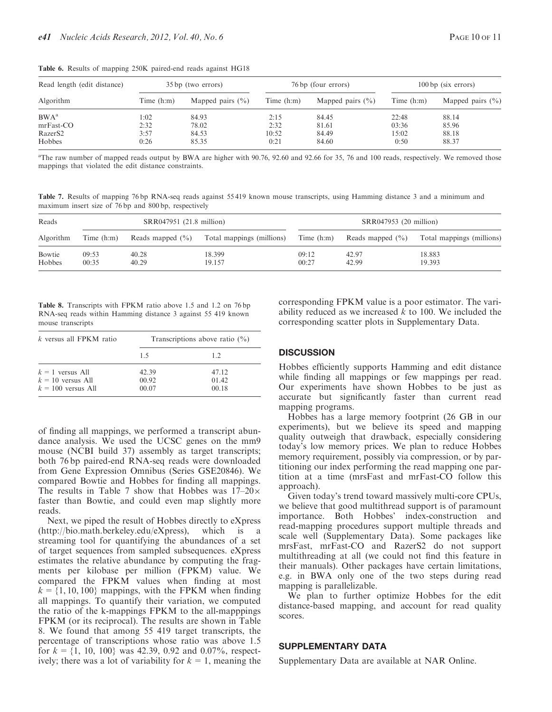| Read length (edit distance)      |              | 35 bp (two errors)   |               | 76 bp (four errors)  | $100$ bp (six errors) |                      |  |
|----------------------------------|--------------|----------------------|---------------|----------------------|-----------------------|----------------------|--|
| Algorithm                        | Time $(h:m)$ | Mapped pairs $(\% )$ | Time $(h:m)$  | Mapped pairs $(\% )$ | Time $(h:m)$          | Mapped pairs $(\% )$ |  |
| BWA <sup>a</sup>                 | 1:02         | 84.93                | 2:15          | 84.45                | 22:48                 | 88.14                |  |
| mrFast-CO<br>Razer <sub>S2</sub> | 2:32<br>3:57 | 78.02<br>84.53       | 2:32<br>10:52 | 81.61<br>84.49       | 03:36<br>15:02        | 85.96<br>88.18       |  |
| Hobbes                           | 0:26         | 85.35                | 0:21          | 84.60                | 0:50                  | 88.37                |  |

<span id="page-10-0"></span>Table 6. Results of mapping 250K paired-end reads against HG18

<sup>a</sup>The raw number of mapped reads output by BWA are higher with 90.76, 92.60 and 92.66 for 35, 76 and 100 reads, respectively. We removed those mappings that violated the edit distance constraints.

Table 7. Results of mapping 76 bp RNA-seq reads against 55 419 known mouse transcripts, using Hamming distance 3 and a minimum and maximum insert size of 76 bp and 800 bp, respectively

| Reads            |                | SRR047951 (21.8 million) |                           | SRR047953 (20 million) |                      |                           |  |
|------------------|----------------|--------------------------|---------------------------|------------------------|----------------------|---------------------------|--|
| Algorithm        | Time $(h:m)$   | Reads mapped $(\% )$     | Total mappings (millions) | Time $(h:m)$           | Reads mapped $(\% )$ | Total mappings (millions) |  |
| Bowtie<br>Hobbes | 09:53<br>00:35 | 40.28<br>40.29           | 18.399<br>19.157          | 09:12<br>00:27         | 42.97<br>42.99       | 18.883<br>19.393          |  |

Table 8. Transcripts with FPKM ratio above 1.5 and 1.2 on 76 bp RNA-seq reads within Hamming distance 3 against 55 419 known mouse transcripts

| k versus all FPKM ratio                                           | Transcriptions above ratio $(\% )$ |                         |  |  |  |
|-------------------------------------------------------------------|------------------------------------|-------------------------|--|--|--|
|                                                                   | 15                                 | 12                      |  |  |  |
| $k = 1$ versus All<br>$k = 10$ versus All<br>$k = 100$ versus All | 42.39<br>00.92<br>00.07            | 47.12<br>01.42<br>00.18 |  |  |  |

of finding all mappings, we performed a transcript abundance analysis. We used the UCSC genes on the mm9 mouse (NCBI build 37) assembly as target transcripts; both 76 bp paired-end RNA-seq reads were downloaded from Gene Expression Omnibus (Series GSE20846). We compared Bowtie and Hobbes for finding all mappings. The results in Table 7 show that Hobbes was  $17-20 \times$ faster than Bowtie, and could even map slightly more reads.

Next, we piped the result of Hobbes directly to eXpress (<http://bio.math.berkeley.edu/eXpress>), which is a streaming tool for quantifying the abundances of a set of target sequences from sampled subsequences. eXpress estimates the relative abundance by computing the fragments per kilobase per million (FPKM) value. We compared the FPKM values when finding at most  $k = \{1, 10, 100\}$  mappings, with the FPKM when finding all mappings. To quantify their variation, we computed the ratio of the k-mappings FPKM to the all-mapppings FPKM (or its reciprocal). The results are shown in Table 8. We found that among 55 419 target transcripts, the percentage of transcriptions whose ratio was above 1.5 for  $k = \{1, 10, 100\}$  was 42.39, 0.92 and 0.07%, respectively; there was a lot of variability for  $k = 1$ , meaning the corresponding FPKM value is a poor estimator. The variability reduced as we increased  $k$  to 100. We included the corresponding scatter plots in [Supplementary Data.](http://nar.oxfordjournals.org/cgi/content/full/gkr1246/DC1)

# **DISCUSSION**

Hobbes efficiently supports Hamming and edit distance while finding all mappings or few mappings per read. Our experiments have shown Hobbes to be just as accurate but significantly faster than current read mapping programs.

Hobbes has a large memory footprint (26 GB in our experiments), but we believe its speed and mapping quality outweigh that drawback, especially considering today's low memory prices. We plan to reduce Hobbes memory requirement, possibly via compression, or by partitioning our index performing the read mapping one partition at a time (mrsFast and mrFast-CO follow this approach).

Given today's trend toward massively multi-core CPUs, we believe that good multithread support is of paramount importance. Both Hobbes' index-construction and read-mapping procedures support multiple threads and scale well [\(Supplementary Data](http://nar.oxfordjournals.org/cgi/content/full/gkr1246/DC1)). Some packages like mrsFast, mrFast-CO and RazerS2 do not support multithreading at all (we could not find this feature in their manuals). Other packages have certain limitations, e.g. in BWA only one of the two steps during read mapping is parallelizable.

We plan to further optimize Hobbes for the edit distance-based mapping, and account for read quality scores.

# SUPPLEMENTARY DATA

[Supplementary Data](http://nar.oxfordjournals.org/cgi/content/full/gkr1246/DC1) are available at NAR Online.